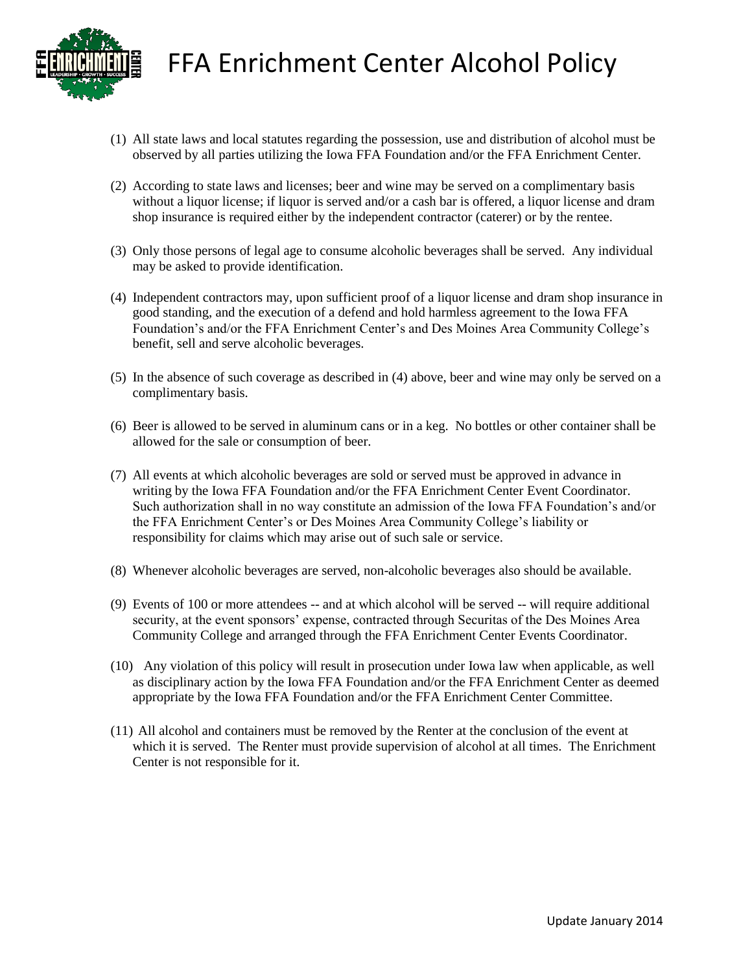

FFA Enrichment Center Alcohol Policy

- (1) All state laws and local statutes regarding the possession, use and distribution of alcohol must be observed by all parties utilizing the Iowa FFA Foundation and/or the FFA Enrichment Center.
- (2) According to state laws and licenses; beer and wine may be served on a complimentary basis without a liquor license; if liquor is served and/or a cash bar is offered, a liquor license and dram shop insurance is required either by the independent contractor (caterer) or by the rentee.
- (3) Only those persons of legal age to consume alcoholic beverages shall be served. Any individual may be asked to provide identification.
- (4) Independent contractors may, upon sufficient proof of a liquor license and dram shop insurance in good standing, and the execution of a defend and hold harmless agreement to the Iowa FFA Foundation's and/or the FFA Enrichment Center's and Des Moines Area Community College's benefit, sell and serve alcoholic beverages.
- (5) In the absence of such coverage as described in (4) above, beer and wine may only be served on a complimentary basis.
- (6) Beer is allowed to be served in aluminum cans or in a keg. No bottles or other container shall be allowed for the sale or consumption of beer.
- (7) All events at which alcoholic beverages are sold or served must be approved in advance in writing by the Iowa FFA Foundation and/or the FFA Enrichment Center Event Coordinator. Such authorization shall in no way constitute an admission of the Iowa FFA Foundation's and/or the FFA Enrichment Center's or Des Moines Area Community College's liability or responsibility for claims which may arise out of such sale or service.
- (8) Whenever alcoholic beverages are served, non-alcoholic beverages also should be available.
- (9) Events of 100 or more attendees -- and at which alcohol will be served -- will require additional security, at the event sponsors' expense, contracted through Securitas of the Des Moines Area Community College and arranged through the FFA Enrichment Center Events Coordinator.
- (10) Any violation of this policy will result in prosecution under Iowa law when applicable, as well as disciplinary action by the Iowa FFA Foundation and/or the FFA Enrichment Center as deemed appropriate by the Iowa FFA Foundation and/or the FFA Enrichment Center Committee.
- (11) All alcohol and containers must be removed by the Renter at the conclusion of the event at which it is served. The Renter must provide supervision of alcohol at all times. The Enrichment Center is not responsible for it.